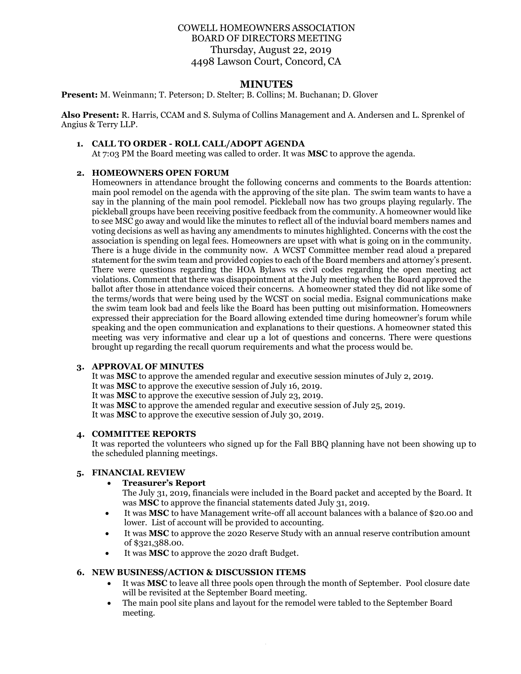# COWELL HOMEOWNERS ASSOCIATION BOARD OF DIRECTORS MEETING Thursday, August 22, 2019 4498 Lawson Court, Concord, CA

## **MINUTES**

**Present:** M. Weinmann; T. Peterson; D. Stelter; B. Collins; M. Buchanan; D. Glover

**Also Present:** R. Harris, CCAM and S. Sulyma of Collins Management and A. Andersen and L. Sprenkel of Angius & Terry LLP.

#### **1. CALL TO ORDER - ROLL CALL/ADOPT AGENDA**

At 7:03 PM the Board meeting was called to order. It was **MSC** to approve the agenda.

#### **2. HOMEOWNERS OPEN FORUM**

Homeowners in attendance brought the following concerns and comments to the Boards attention: main pool remodel on the agenda with the approving of the site plan. The swim team wants to have a say in the planning of the main pool remodel. Pickleball now has two groups playing regularly. The pickleball groups have been receiving positive feedback from the community. A homeowner would like to see MSC go away and would like the minutes to reflect all of the induvial board members names and voting decisions as well as having any amendments to minutes highlighted. Concerns with the cost the association is spending on legal fees. Homeowners are upset with what is going on in the community. There is a huge divide in the community now. A WCST Committee member read aloud a prepared statement for the swim team and provided copies to each of the Board members and attorney's present. There were questions regarding the HOA Bylaws vs civil codes regarding the open meeting act violations. Comment that there was disappointment at the July meeting when the Board approved the ballot after those in attendance voiced their concerns. A homeowner stated they did not like some of the terms/words that were being used by the WCST on social media. Esignal communications make the swim team look bad and feels like the Board has been putting out misinformation. Homeowners expressed their appreciation for the Board allowing extended time during homeowner's forum while speaking and the open communication and explanations to their questions. A homeowner stated this meeting was very informative and clear up a lot of questions and concerns. There were questions brought up regarding the recall quorum requirements and what the process would be.

## **3. APPROVAL OF MINUTES**

It was **MSC** to approve the amended regular and executive session minutes of July 2, 2019. It was **MSC** to approve the executive session of July 16, 2019. It was **MSC** to approve the executive session of July 23, 2019. It was **MSC** to approve the amended regular and executive session of July 25, 2019. It was **MSC** to approve the executive session of July 30, 2019.

#### **4. COMMITTEE REPORTS**

It was reported the volunteers who signed up for the Fall BBQ planning have not been showing up to the scheduled planning meetings.

#### **5. FINANCIAL REVIEW**

#### • **Treasurer's Report**

The July 31, 2019, financials were included in the Board packet and accepted by the Board. It was **MSC** to approve the financial statements dated July 31, 2019.

- It was **MSC** to have Management write-off all account balances with a balance of \$20.00 and lower. List of account will be provided to accounting.
- It was **MSC** to approve the 2020 Reserve Study with an annual reserve contribution amount of \$321,388.00.
- It was **MSC** to approve the 2020 draft Budget.

#### **6. NEW BUSINESS/ACTION & DISCUSSION ITEMS**

- It was **MSC** to leave all three pools open through the month of September. Pool closure date will be revisited at the September Board meeting.
- The main pool site plans and layout for the remodel were tabled to the September Board meeting.